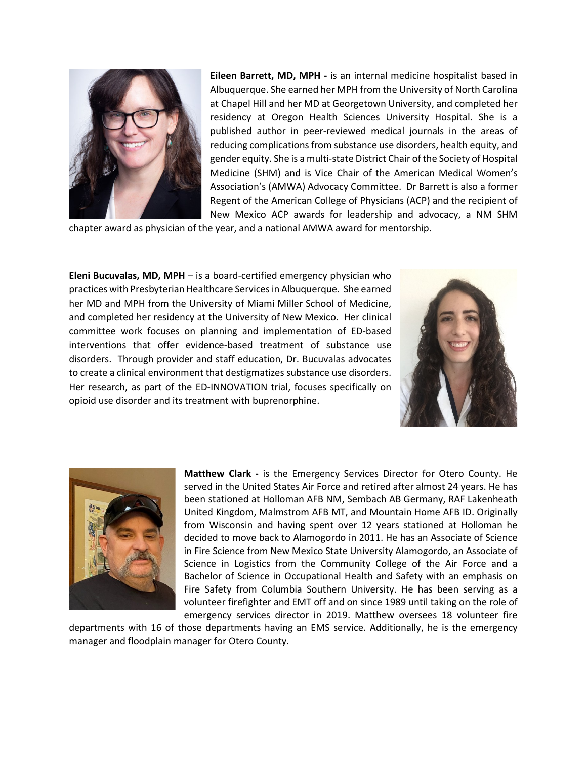

**Eileen Barrett, MD, MPH -** is an internal medicine hospitalist based in Albuquerque. She earned her MPH from the University of North Carolina at Chapel Hill and her MD at Georgetown University, and completed her residency at Oregon Health Sciences University Hospital. She is a published author in peer-reviewed medical journals in the areas of reducing complications from substance use disorders, health equity, and gender equity. She is a multi-state District Chair of the Society of Hospital Medicine (SHM) and is Vice Chair of the American Medical Women's Association's (AMWA) Advocacy Committee. Dr Barrett is also a former Regent of the American College of Physicians (ACP) and the recipient of New Mexico ACP awards for leadership and advocacy, a NM SHM

chapter award as physician of the year, and a national AMWA award for mentorship.

**Eleni Bucuvalas, MD, MPH** – is a board-certified emergency physician who practices with Presbyterian Healthcare Services in Albuquerque. She earned her MD and MPH from the University of Miami Miller School of Medicine, and completed her residency at the University of New Mexico. Her clinical committee work focuses on planning and implementation of ED-based interventions that offer evidence-based treatment of substance use disorders. Through provider and staff education, Dr. Bucuvalas advocates to create a clinical environment that destigmatizes substance use disorders. Her research, as part of the ED-INNOVATION trial, focuses specifically on opioid use disorder and its treatment with buprenorphine.





**Matthew Clark -** is the Emergency Services Director for Otero County. He served in the United States Air Force and retired after almost 24 years. He has been stationed at Holloman AFB NM, Sembach AB Germany, RAF Lakenheath United Kingdom, Malmstrom AFB MT, and Mountain Home AFB ID. Originally from Wisconsin and having spent over 12 years stationed at Holloman he decided to move back to Alamogordo in 2011. He has an Associate of Science in Fire Science from New Mexico State University Alamogordo, an Associate of Science in Logistics from the Community College of the Air Force and a Bachelor of Science in Occupational Health and Safety with an emphasis on Fire Safety from Columbia Southern University. He has been serving as a volunteer firefighter and EMT off and on since 1989 until taking on the role of emergency services director in 2019. Matthew oversees 18 volunteer fire

departments with 16 of those departments having an EMS service. Additionally, he is the emergency manager and floodplain manager for Otero County.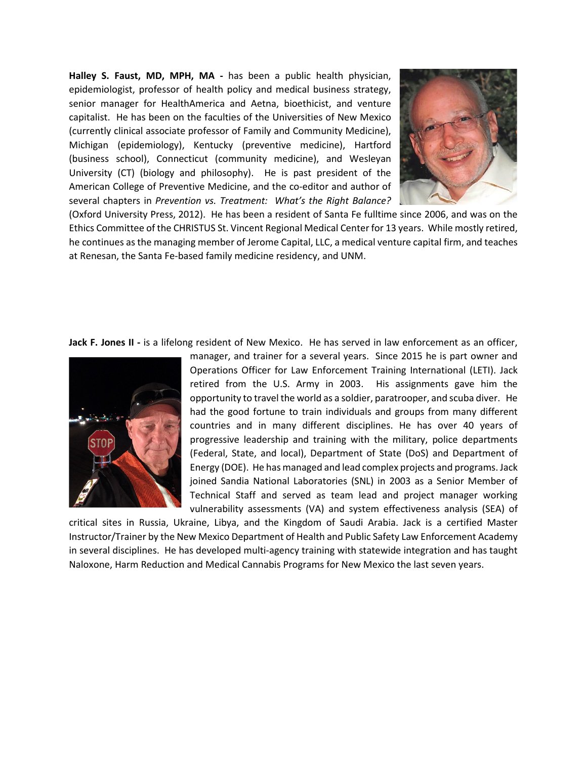**Halley S. Faust, MD, MPH, MA -** has been a public health physician, epidemiologist, professor of health policy and medical business strategy, senior manager for HealthAmerica and Aetna, bioethicist, and venture capitalist. He has been on the faculties of the Universities of New Mexico (currently clinical associate professor of Family and Community Medicine), Michigan (epidemiology), Kentucky (preventive medicine), Hartford (business school), Connecticut (community medicine), and Wesleyan University (CT) (biology and philosophy). He is past president of the American College of Preventive Medicine, and the co-editor and author of several chapters in *Prevention vs. Treatment: What's the Right Balance?*



(Oxford University Press, 2012). He has been a resident of Santa Fe fulltime since 2006, and was on the Ethics Committee of the CHRISTUS St. Vincent Regional Medical Center for 13 years. While mostly retired, he continues as the managing member of Jerome Capital, LLC, a medical venture capital firm, and teaches at Renesan, the Santa Fe-based family medicine residency, and UNM.

**Jack F. Jones II -** is a lifelong resident of New Mexico. He has served in law enforcement as an officer,



manager, and trainer for a several years. Since 2015 he is part owner and Operations Officer for Law Enforcement Training International (LETI). Jack retired from the U.S. Army in 2003. His assignments gave him the opportunity to travel the world as a soldier, paratrooper, and scuba diver. He had the good fortune to train individuals and groups from many different countries and in many different disciplines. He has over 40 years of progressive leadership and training with the military, police departments (Federal, State, and local), Department of State (DoS) and Department of Energy (DOE). He has managed and lead complex projects and programs. Jack joined Sandia National Laboratories (SNL) in 2003 as a Senior Member of Technical Staff and served as team lead and project manager working vulnerability assessments (VA) and system effectiveness analysis (SEA) of

critical sites in Russia, Ukraine, Libya, and the Kingdom of Saudi Arabia. Jack is a certified Master Instructor/Trainer by the New Mexico Department of Health and Public Safety Law Enforcement Academy in several disciplines. He has developed multi-agency training with statewide integration and has taught Naloxone, Harm Reduction and Medical Cannabis Programs for New Mexico the last seven years.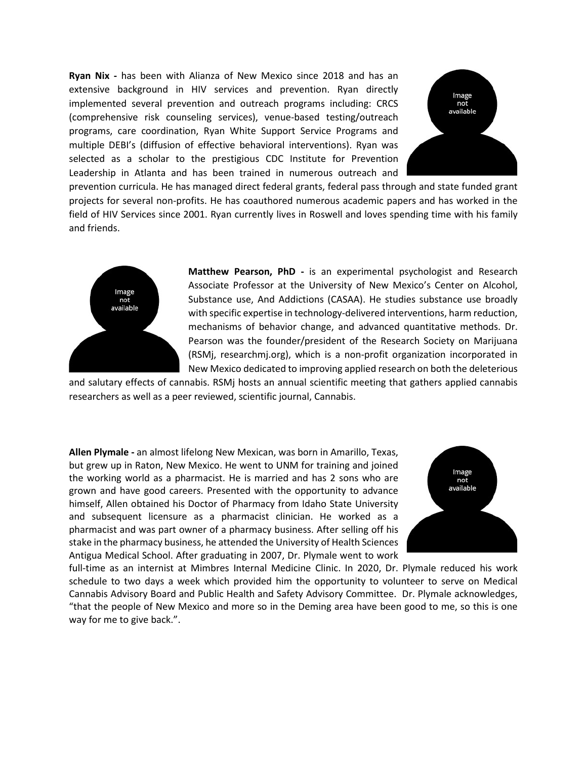**Ryan Nix -** has been with Alianza of New Mexico since 2018 and has an extensive background in HIV services and prevention. Ryan directly implemented several prevention and outreach programs including: CRCS (comprehensive risk counseling services), venue-based testing/outreach programs, care coordination, Ryan White Support Service Programs and multiple DEBI's (diffusion of effective behavioral interventions). Ryan was selected as a scholar to the prestigious CDC Institute for Prevention Leadership in Atlanta and has been trained in numerous outreach and



prevention curricula. He has managed direct federal grants, federal pass through and state funded grant projects for several non-profits. He has coauthored numerous academic papers and has worked in the field of HIV Services since 2001. Ryan currently lives in Roswell and loves spending time with his family and friends.



**Matthew Pearson, PhD -** is an experimental psychologist and Research Associate Professor at the University of New Mexico's Center on Alcohol, Substance use, And Addictions (CASAA). He studies substance use broadly with specific expertise in technology-delivered interventions, harm reduction, mechanisms of behavior change, and advanced quantitative methods. Dr. Pearson was the founder/president of the Research Society on Marijuana (RSMj, researchmj.org), which is a non-profit organization incorporated in New Mexico dedicated to improving applied research on both the deleterious

and salutary effects of cannabis. RSMj hosts an annual scientific meeting that gathers applied cannabis researchers as well as a peer reviewed, scientific journal, Cannabis.

**Allen Plymale -** an almost lifelong New Mexican, was born in Amarillo, Texas, but grew up in Raton, New Mexico. He went to UNM for training and joined the working world as a pharmacist. He is married and has 2 sons who are grown and have good careers. Presented with the opportunity to advance himself, Allen obtained his Doctor of Pharmacy from Idaho State University and subsequent licensure as a pharmacist clinician. He worked as a pharmacist and was part owner of a pharmacy business. After selling off his stake in the pharmacy business, he attended the University of Health Sciences Antigua Medical School. After graduating in 2007, Dr. Plymale went to work



full-time as an internist at Mimbres Internal Medicine Clinic. In 2020, Dr. Plymale reduced his work schedule to two days a week which provided him the opportunity to volunteer to serve on Medical Cannabis Advisory Board and Public Health and Safety Advisory Committee. Dr. Plymale acknowledges, "that the people of New Mexico and more so in the Deming area have been good to me, so this is one way for me to give back.".